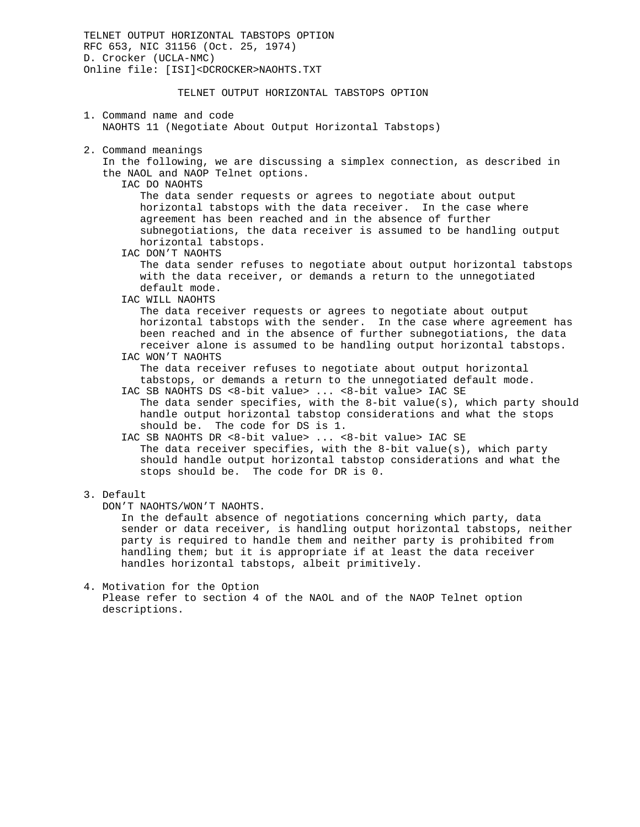TELNET OUTPUT HORIZONTAL TABSTOPS OPTION RFC 653, NIC 31156 (Oct. 25, 1974) D. Crocker (UCLA-NMC) Online file: [ISI]<DCROCKER>NAOHTS.TXT

TELNET OUTPUT HORIZONTAL TABSTOPS OPTION

- 1. Command name and code NAOHTS 11 (Negotiate About Output Horizontal Tabstops)
- 2. Command meanings
	- In the following, we are discussing a simplex connection, as described in the NAOL and NAOP Telnet options.
		- IAC DO NAOHTS

 The data sender requests or agrees to negotiate about output horizontal tabstops with the data receiver. In the case where agreement has been reached and in the absence of further subnegotiations, the data receiver is assumed to be handling output horizontal tabstops.

IAC DON'T NAOHTS

 The data sender refuses to negotiate about output horizontal tabstops with the data receiver, or demands a return to the unnegotiated default mode.

IAC WILL NAOHTS

 The data receiver requests or agrees to negotiate about output horizontal tabstops with the sender. In the case where agreement has been reached and in the absence of further subnegotiations, the data receiver alone is assumed to be handling output horizontal tabstops.

IAC WON'T NAOHTS

 The data receiver refuses to negotiate about output horizontal tabstops, or demands a return to the unnegotiated default mode.

 IAC SB NAOHTS DS <8-bit value> ... <8-bit value> IAC SE The data sender specifies, with the 8-bit value(s), which party should handle output horizontal tabstop considerations and what the stops should be. The code for DS is 1.

 IAC SB NAOHTS DR <8-bit value> ... <8-bit value> IAC SE The data receiver specifies, with the 8-bit value(s), which party should handle output horizontal tabstop considerations and what the stops should be. The code for DR is 0.

3. Default

DON'T NAOHTS/WON'T NAOHTS.

 In the default absence of negotiations concerning which party, data sender or data receiver, is handling output horizontal tabstops, neither party is required to handle them and neither party is prohibited from handling them; but it is appropriate if at least the data receiver handles horizontal tabstops, albeit primitively.

4. Motivation for the Option Please refer to section 4 of the NAOL and of the NAOP Telnet option descriptions.